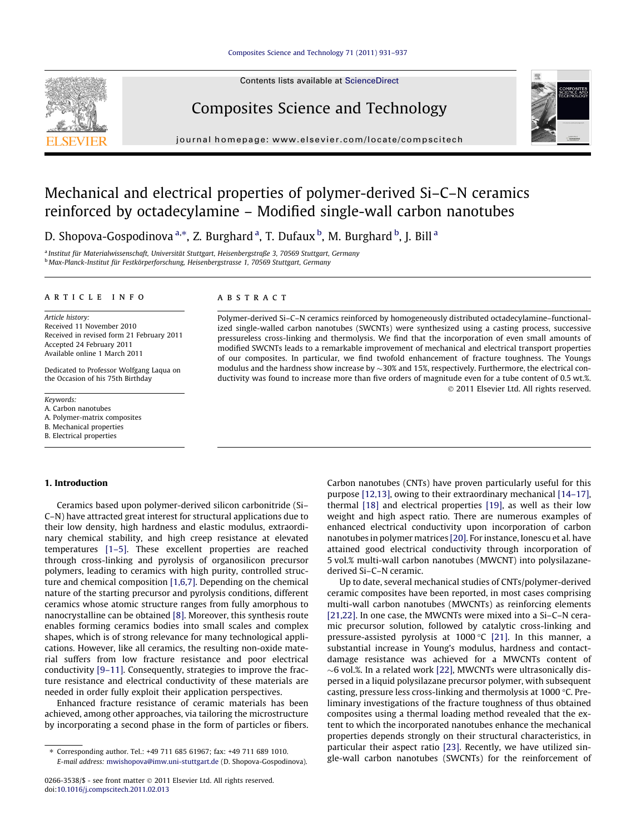### [Composites Science and Technology 71 \(2011\) 931–937](http://dx.doi.org/10.1016/j.compscitech.2011.02.013)

Contents lists available at [ScienceDirect](http://www.sciencedirect.com/science/journal/02663538)

# Composites Science and Technology

journal homepage: [www.elsevier.com/locate/compscitech](http://www.elsevier.com/locate/compscitech)



# Mechanical and electrical properties of polymer-derived Si–C–N ceramics reinforced by octadecylamine – Modified single-wall carbon nanotubes

D. Shopova-Gospodinova <sup>a,</sup>\*, Z. Burghard <sup>a</sup>, T. Dufaux <sup>b</sup>, M. Burghard <sup>b</sup>, J. Bill <sup>a</sup>

<sup>a</sup> Institut für Materialwissenschaft, Universität Stuttgart, Heisenbergstraße 3, 70569 Stuttgart, Germany <sup>b</sup> Max-Planck-Institut für Festkörperforschung, Heisenbergstrasse 1, 70569 Stuttgart, Germany

#### article info

Article history: Received 11 November 2010 Received in revised form 21 February 2011 Accepted 24 February 2011 Available online 1 March 2011

Dedicated to Professor Wolfgang Laqua on the Occasion of his 75th Birthday

- Keywords:
- A. Carbon nanotubes
- A. Polymer-matrix composites
- B. Mechanical properties
- B. Electrical properties

## ABSTRACT

Polymer-derived Si–C–N ceramics reinforced by homogeneously distributed octadecylamine–functionalized single-walled carbon nanotubes (SWCNTs) were synthesized using a casting process, successive pressureless cross-linking and thermolysis. We find that the incorporation of even small amounts of modified SWCNTs leads to a remarkable improvement of mechanical and electrical transport properties of our composites. In particular, we find twofold enhancement of fracture toughness. The Youngs modulus and the hardness show increase by  $\sim$ 30% and 15%, respectively. Furthermore, the electrical conductivity was found to increase more than five orders of magnitude even for a tube content of 0.5 wt.%. - 2011 Elsevier Ltd. All rights reserved.

## 1. Introduction

Ceramics based upon polymer-derived silicon carbonitride (Si– C–N) have attracted great interest for structural applications due to their low density, high hardness and elastic modulus, extraordinary chemical stability, and high creep resistance at elevated temperatures [\[1–5\].](#page-5-0) These excellent properties are reached through cross-linking and pyrolysis of organosilicon precursor polymers, leading to ceramics with high purity, controlled structure and chemical composition [\[1,6,7\].](#page-5-0) Depending on the chemical nature of the starting precursor and pyrolysis conditions, different ceramics whose atomic structure ranges from fully amorphous to nanocrystalline can be obtained [\[8\]](#page-5-0). Moreover, this synthesis route enables forming ceramics bodies into small scales and complex shapes, which is of strong relevance for many technological applications. However, like all ceramics, the resulting non-oxide material suffers from low fracture resistance and poor electrical conductivity [\[9–11\]](#page-5-0). Consequently, strategies to improve the fracture resistance and electrical conductivity of these materials are needed in order fully exploit their application perspectives.

Enhanced fracture resistance of ceramic materials has been achieved, among other approaches, via tailoring the microstructure by incorporating a second phase in the form of particles or fibers. Carbon nanotubes (CNTs) have proven particularly useful for this purpose [\[12,13\]](#page-6-0), owing to their extraordinary mechanical [\[14–17\],](#page-6-0) thermal [\[18\]](#page-6-0) and electrical properties [\[19\],](#page-6-0) as well as their low weight and high aspect ratio. There are numerous examples of enhanced electrical conductivity upon incorporation of carbon nanotubes in polymer matrices [\[20\].](#page-6-0) For instance, Ionescu et al. have attained good electrical conductivity through incorporation of 5 vol.% multi-wall carbon nanotubes (MWCNT) into polysilazanederived Si–C–N ceramic.

Up to date, several mechanical studies of CNTs/polymer-derived ceramic composites have been reported, in most cases comprising multi-wall carbon nanotubes (MWCNTs) as reinforcing elements [\[21,22\]](#page-6-0). In one case, the MWCNTs were mixed into a Si–C–N ceramic precursor solution, followed by catalytic cross-linking and pressure-assisted pyrolysis at  $1000 °C$  [\[21\]](#page-6-0). In this manner, a substantial increase in Young's modulus, hardness and contactdamage resistance was achieved for a MWCNTs content of  $\sim$ 6 vol.%. In a related work [\[22\],](#page-6-0) MWCNTs were ultrasonically dispersed in a liquid polysilazane precursor polymer, with subsequent casting, pressure less cross-linking and thermolysis at 1000 °C. Preliminary investigations of the fracture toughness of thus obtained composites using a thermal loading method revealed that the extent to which the incorporated nanotubes enhance the mechanical properties depends strongly on their structural characteristics, in particular their aspect ratio [\[23\]](#page-6-0). Recently, we have utilized single-wall carbon nanotubes (SWCNTs) for the reinforcement of

<sup>⇑</sup> Corresponding author. Tel.: +49 711 685 61967; fax: +49 711 689 1010. E-mail address: [mwishopova@imw.uni-stuttgart.de](mailto:mwishopova@imw.uni-stuttgart.de) (D. Shopova-Gospodinova).

<sup>0266-3538/\$ -</sup> see front matter © 2011 Elsevier Ltd. All rights reserved. doi[:10.1016/j.compscitech.2011.02.013](http://dx.doi.org/10.1016/j.compscitech.2011.02.013)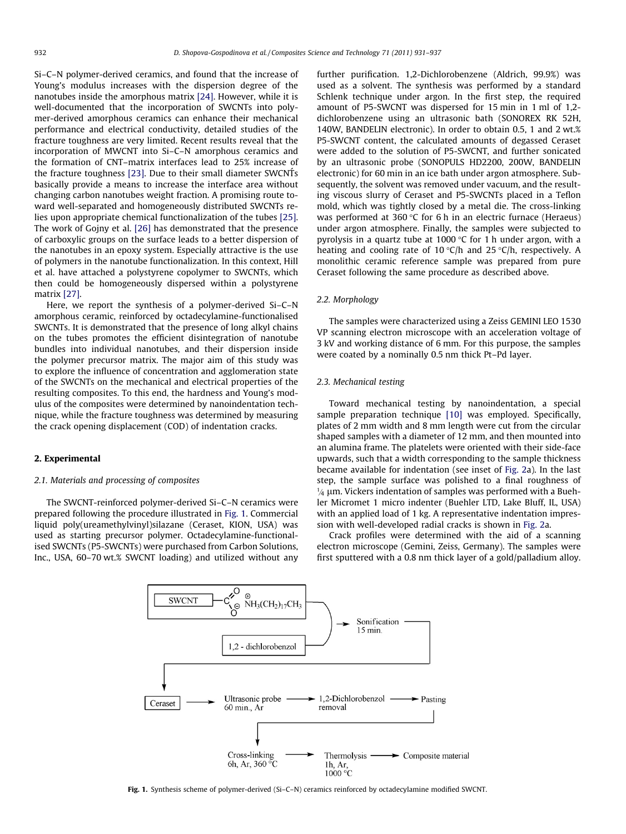Si–C–N polymer-derived ceramics, and found that the increase of Young's modulus increases with the dispersion degree of the nanotubes inside the amorphous matrix [\[24\]](#page-6-0). However, while it is well-documented that the incorporation of SWCNTs into polymer-derived amorphous ceramics can enhance their mechanical performance and electrical conductivity, detailed studies of the fracture toughness are very limited. Recent results reveal that the incorporation of MWCNT into Si–C–N amorphous ceramics and the formation of CNT–matrix interfaces lead to 25% increase of the fracture toughness [\[23\]](#page-6-0). Due to their small diameter SWCNTs basically provide a means to increase the interface area without changing carbon nanotubes weight fraction. A promising route toward well-separated and homogeneously distributed SWCNTs relies upon appropriate chemical functionalization of the tubes [\[25\].](#page-6-0) The work of Gojny et al. [\[26\]](#page-6-0) has demonstrated that the presence of carboxylic groups on the surface leads to a better dispersion of the nanotubes in an epoxy system. Especially attractive is the use of polymers in the nanotube functionalization. In this context, Hill et al. have attached a polystyrene copolymer to SWCNTs, which then could be homogeneously dispersed within a polystyrene matrix [\[27\].](#page-6-0)

Here, we report the synthesis of a polymer-derived Si–C–N amorphous ceramic, reinforced by octadecylamine-functionalised SWCNTs. It is demonstrated that the presence of long alkyl chains on the tubes promotes the efficient disintegration of nanotube bundles into individual nanotubes, and their dispersion inside the polymer precursor matrix. The major aim of this study was to explore the influence of concentration and agglomeration state of the SWCNTs on the mechanical and electrical properties of the resulting composites. To this end, the hardness and Young's modulus of the composites were determined by nanoindentation technique, while the fracture toughness was determined by measuring the crack opening displacement (COD) of indentation cracks.

## 2. Experimental

#### 2.1. Materials and processing of composites

The SWCNT-reinforced polymer-derived Si–C–N ceramics were prepared following the procedure illustrated in Fig. 1. Commercial liquid poly(ureamethylvinyl)silazane (Ceraset, KION, USA) was used as starting precursor polymer. Octadecylamine-functionalised SWCNTs (P5-SWCNTs) were purchased from Carbon Solutions, Inc., USA, 60–70 wt.% SWCNT loading) and utilized without any further purification. 1,2-Dichlorobenzene (Aldrich, 99.9%) was used as a solvent. The synthesis was performed by a standard Schlenk technique under argon. In the first step, the required amount of P5-SWCNT was dispersed for 15 min in 1 ml of 1,2 dichlorobenzene using an ultrasonic bath (SONOREX RK 52H, 140W, BANDELIN electronic). In order to obtain 0.5, 1 and 2 wt.% P5-SWCNT content, the calculated amounts of degassed Ceraset were added to the solution of P5-SWCNT, and further sonicated by an ultrasonic probe (SONOPULS HD2200, 200W, BANDELIN electronic) for 60 min in an ice bath under argon atmosphere. Subsequently, the solvent was removed under vacuum, and the resulting viscous slurry of Ceraset and P5-SWCNTs placed in a Teflon mold, which was tightly closed by a metal die. The cross-linking was performed at 360 °C for 6 h in an electric furnace (Heraeus) under argon atmosphere. Finally, the samples were subjected to pyrolysis in a quartz tube at 1000  $\degree$ C for 1 h under argon, with a heating and cooling rate of 10 °C/h and 25 °C/h, respectively. A monolithic ceramic reference sample was prepared from pure Ceraset following the same procedure as described above.

#### 2.2. Morphology

The samples were characterized using a Zeiss GEMINI LEO 1530 VP scanning electron microscope with an acceleration voltage of 3 kV and working distance of 6 mm. For this purpose, the samples were coated by a nominally 0.5 nm thick Pt–Pd layer.

#### 2.3. Mechanical testing

Toward mechanical testing by nanoindentation, a special sample preparation technique [\[10\]](#page-5-0) was employed. Specifically, plates of 2 mm width and 8 mm length were cut from the circular shaped samples with a diameter of 12 mm, and then mounted into an alumina frame. The platelets were oriented with their side-face upwards, such that a width corresponding to the sample thickness became available for indentation (see inset of [Fig. 2](#page-2-0)a). In the last step, the sample surface was polished to a final roughness of  $\frac{1}{4}$  µm. Vickers indentation of samples was performed with a Buehler Micromet 1 micro indenter (Buehler LTD, Lake Bluff, IL, USA) with an applied load of 1 kg. A representative indentation impression with well-developed radial cracks is shown in [Fig. 2a](#page-2-0).

Crack profiles were determined with the aid of a scanning electron microscope (Gemini, Zeiss, Germany). The samples were first sputtered with a 0.8 nm thick layer of a gold/palladium alloy.



Fig. 1. Synthesis scheme of polymer-derived (Si-C-N) ceramics reinforced by octadecylamine modified SWCNT.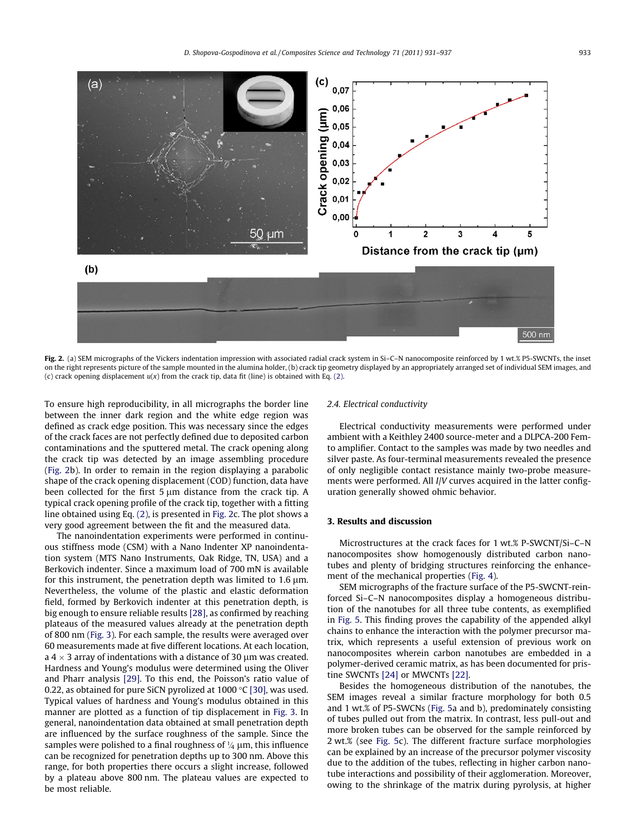<span id="page-2-0"></span>

Fig. 2. (a) SEM micrographs of the Vickers indentation impression with associated radial crack system in Si-C-N nanocomposite reinforced by 1 wt.% P5-SWCNTs, the inset on the right represents picture of the sample mounted in the alumina holder, (b) crack tip geometry displayed by an appropriately arranged set of individual SEM images, and (c) crack opening displacement  $u(x)$  from the crack tip, data fit (line) is obtained with Eq. [\(2\)](#page-4-0).

To ensure high reproducibility, in all micrographs the border line between the inner dark region and the white edge region was defined as crack edge position. This was necessary since the edges of the crack faces are not perfectly defined due to deposited carbon contaminations and the sputtered metal. The crack opening along the crack tip was detected by an image assembling procedure (Fig. 2b). In order to remain in the region displaying a parabolic shape of the crack opening displacement (COD) function, data have been collected for the first  $5 \mu m$  distance from the crack tip. A typical crack opening profile of the crack tip, together with a fitting line obtained using Eq. [\(2\),](#page-4-0) is presented in Fig. 2c. The plot shows a very good agreement between the fit and the measured data.

The nanoindentation experiments were performed in continuous stiffness mode (CSM) with a Nano Indenter XP nanoindentation system (MTS Nano Instruments, Oak Ridge, TN, USA) and a Berkovich indenter. Since a maximum load of 700 mN is available for this instrument, the penetration depth was limited to  $1.6 \mu m$ . Nevertheless, the volume of the plastic and elastic deformation field, formed by Berkovich indenter at this penetration depth, is big enough to ensure reliable results [\[28\],](#page-6-0) as confirmed by reaching plateaus of the measured values already at the penetration depth of 800 nm ([Fig. 3\)](#page-3-0). For each sample, the results were averaged over 60 measurements made at five different locations. At each location, a 4  $\times$  3 array of indentations with a distance of 30  $\mu$ m was created. Hardness and Young's modulus were determined using the Oliver and Pharr analysis [\[29\]](#page-6-0). To this end, the Poisson's ratio value of 0.22, as obtained for pure SiCN pyrolized at 1000  $\degree$ C [\[30\]](#page-6-0), was used. Typical values of hardness and Young's modulus obtained in this manner are plotted as a function of tip displacement in [Fig. 3](#page-3-0). In general, nanoindentation data obtained at small penetration depth are influenced by the surface roughness of the sample. Since the samples were polished to a final roughness of  $\frac{1}{4}$  µm, this influence can be recognized for penetration depths up to 300 nm. Above this range, for both properties there occurs a slight increase, followed by a plateau above 800 nm. The plateau values are expected to be most reliable.

### 2.4. Electrical conductivity

Electrical conductivity measurements were performed under ambient with a Keithley 2400 source-meter and a DLPCA-200 Femto amplifier. Contact to the samples was made by two needles and silver paste. As four-terminal measurements revealed the presence of only negligible contact resistance mainly two-probe measurements were performed. All I/V curves acquired in the latter configuration generally showed ohmic behavior.

### 3. Results and discussion

Microstructures at the crack faces for 1 wt.% P-SWCNT/Si–C–N nanocomposites show homogenously distributed carbon nanotubes and plenty of bridging structures reinforcing the enhancement of the mechanical properties ([Fig. 4](#page-3-0)).

SEM micrographs of the fracture surface of the P5-SWCNT-reinforced Si–C–N nanocomposites display a homogeneous distribution of the nanotubes for all three tube contents, as exemplified in [Fig. 5.](#page-3-0) This finding proves the capability of the appended alkyl chains to enhance the interaction with the polymer precursor matrix, which represents a useful extension of previous work on nanocomposites wherein carbon nanotubes are embedded in a polymer-derived ceramic matrix, as has been documented for pristine SWCNTs [\[24\]](#page-6-0) or MWCNTs [\[22\].](#page-6-0)

Besides the homogeneous distribution of the nanotubes, the SEM images reveal a similar fracture morphology for both 0.5 and 1 wt.% of P5-SWCNs [\(Fig. 5a](#page-3-0) and b), predominately consisting of tubes pulled out from the matrix. In contrast, less pull-out and more broken tubes can be observed for the sample reinforced by 2 wt.% (see [Fig. 5c](#page-3-0)). The different fracture surface morphologies can be explained by an increase of the precursor polymer viscosity due to the addition of the tubes, reflecting in higher carbon nanotube interactions and possibility of their agglomeration. Moreover, owing to the shrinkage of the matrix during pyrolysis, at higher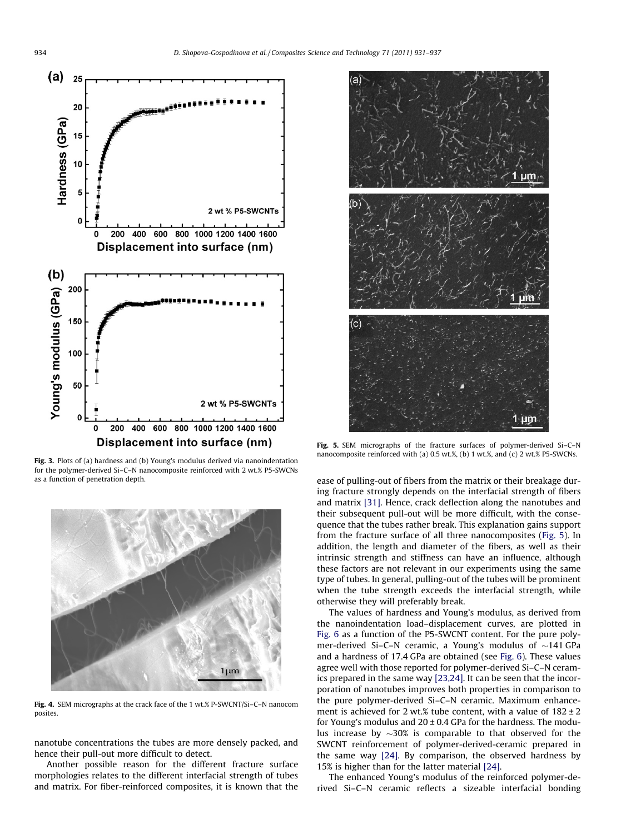<span id="page-3-0"></span>

Fig. 3. Plots of (a) hardness and (b) Young's modulus derived via nanoindentation for the polymer-derived Si–C–N nanocomposite reinforced with 2 wt.% P5-SWCNs as a function of penetration depth.



Fig. 4. SEM micrographs at the crack face of the 1 wt.% P-SWCNT/Si–C–N nanocom posites.

nanotube concentrations the tubes are more densely packed, and hence their pull-out more difficult to detect.

Another possible reason for the different fracture surface morphologies relates to the different interfacial strength of tubes and matrix. For fiber-reinforced composites, it is known that the



Fig. 5. SEM micrographs of the fracture surfaces of polymer-derived Si–C–N nanocomposite reinforced with (a) 0.5 wt.%, (b) 1 wt.%, and (c) 2 wt.% P5-SWCNs.

ease of pulling-out of fibers from the matrix or their breakage during fracture strongly depends on the interfacial strength of fibers and matrix [\[31\]](#page-6-0). Hence, crack deflection along the nanotubes and their subsequent pull-out will be more difficult, with the consequence that the tubes rather break. This explanation gains support from the fracture surface of all three nanocomposites (Fig. 5). In addition, the length and diameter of the fibers, as well as their intrinsic strength and stiffness can have an influence, although these factors are not relevant in our experiments using the same type of tubes. In general, pulling-out of the tubes will be prominent when the tube strength exceeds the interfacial strength, while otherwise they will preferably break.

The values of hardness and Young's modulus, as derived from the nanoindentation load–displacement curves, are plotted in [Fig. 6](#page-4-0) as a function of the P5-SWCNT content. For the pure polymer-derived Si–C–N ceramic, a Young's modulus of  $\sim$ 141 GPa and a hardness of 17.4 GPa are obtained (see [Fig. 6\)](#page-4-0). These values agree well with those reported for polymer-derived Si–C–N ceramics prepared in the same way [\[23,24\].](#page-6-0) It can be seen that the incorporation of nanotubes improves both properties in comparison to the pure polymer-derived Si–C–N ceramic. Maximum enhancement is achieved for 2 wt.% tube content, with a value of  $182 \pm 2$ for Young's modulus and  $20 \pm 0.4$  GPa for the hardness. The modulus increase by  $\sim$ 30% is comparable to that observed for the SWCNT reinforcement of polymer-derived-ceramic prepared in the same way [\[24\].](#page-6-0) By comparison, the observed hardness by 15% is higher than for the latter material [\[24\].](#page-6-0)

The enhanced Young's modulus of the reinforced polymer-derived Si–C–N ceramic reflects a sizeable interfacial bonding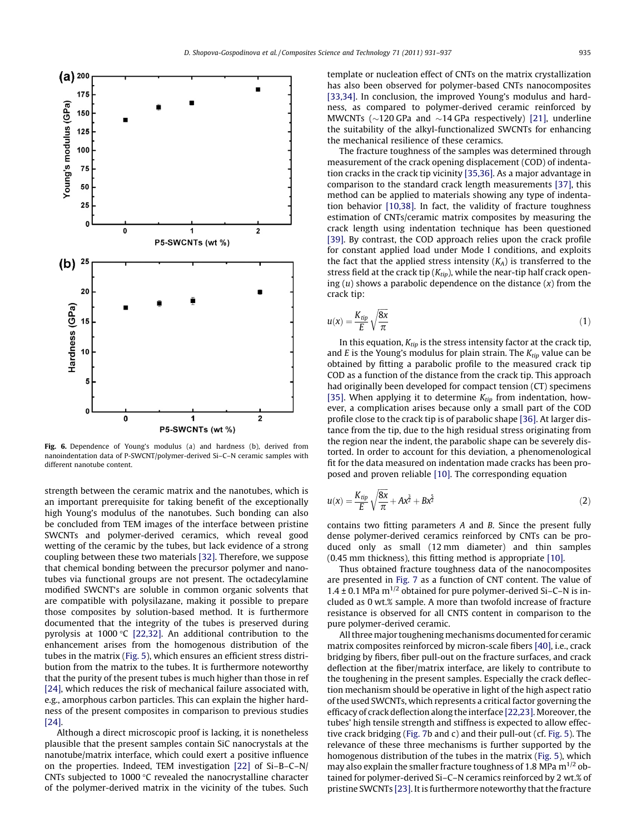<span id="page-4-0"></span>

Fig. 6. Dependence of Young's modulus (a) and hardness (b), derived from nanoindentation data of P-SWCNT/polymer-derived Si–C–N ceramic samples with different nanotube content.

strength between the ceramic matrix and the nanotubes, which is an important prerequisite for taking benefit of the exceptionally high Young's modulus of the nanotubes. Such bonding can also be concluded from TEM images of the interface between pristine SWCNTs and polymer-derived ceramics, which reveal good wetting of the ceramic by the tubes, but lack evidence of a strong coupling between these two materials [\[32\].](#page-6-0) Therefore, we suppose that chemical bonding between the precursor polymer and nanotubes via functional groups are not present. The octadecylamine modified SWCNT's are soluble in common organic solvents that are compatible with polysilazane, making it possible to prepare those composites by solution-based method. It is furthermore documented that the integrity of the tubes is preserved during pyrolysis at 1000 $\degree$ C [\[22,32\]](#page-6-0). An additional contribution to the enhancement arises from the homogenous distribution of the tubes in the matrix [\(Fig. 5](#page-3-0)), which ensures an efficient stress distribution from the matrix to the tubes. It is furthermore noteworthy that the purity of the present tubes is much higher than those in ref [\[24\],](#page-6-0) which reduces the risk of mechanical failure associated with, e.g., amorphous carbon particles. This can explain the higher hardness of the present composites in comparison to previous studies  $[24]$ 

Although a direct microscopic proof is lacking, it is nonetheless plausible that the present samples contain SiC nanocrystals at the nanotube/matrix interface, which could exert a positive influence on the properties. Indeed, TEM investigation [\[22\]](#page-6-0) of Si–B–C–N/ CNTs subjected to 1000  $\degree$ C revealed the nanocrystalline character of the polymer-derived matrix in the vicinity of the tubes. Such template or nucleation effect of CNTs on the matrix crystallization has also been observed for polymer-based CNTs nanocomposites [\[33,34\]](#page-6-0). In conclusion, the improved Young's modulus and hardness, as compared to polymer-derived ceramic reinforced by MWCNTs ( $\sim$ 120 GPa and  $\sim$ 14 GPa respectively) [\[21\],](#page-6-0) underline the suitability of the alkyl-functionalized SWCNTs for enhancing the mechanical resilience of these ceramics.

The fracture toughness of the samples was determined through measurement of the crack opening displacement (COD) of indentation cracks in the crack tip vicinity [\[35,36\]](#page-6-0). As a major advantage in comparison to the standard crack length measurements [\[37\],](#page-6-0) this method can be applied to materials showing any type of indentation behavior [\[10,38\]](#page-5-0). In fact, the validity of fracture toughness estimation of CNTs/ceramic matrix composites by measuring the crack length using indentation technique has been questioned [\[39\]](#page-6-0). By contrast, the COD approach relies upon the crack profile for constant applied load under Mode I conditions, and exploits the fact that the applied stress intensity  $(K_A)$  is transferred to the stress field at the crack tip  $(K_{tip})$ , while the near-tip half crack opening  $(u)$  shows a parabolic dependence on the distance  $(x)$  from the crack tip:

$$
u(x) = \frac{K_{tip}}{E} \sqrt{\frac{8x}{\pi}}
$$
 (1)

In this equation,  $K_{tip}$  is the stress intensity factor at the crack tip, and E is the Young's modulus for plain strain. The  $K_{tip}$  value can be obtained by fitting a parabolic profile to the measured crack tip COD as a function of the distance from the crack tip. This approach had originally been developed for compact tension (CT) specimens [\[35\]](#page-6-0). When applying it to determine  $K_{tin}$  from indentation, however, a complication arises because only a small part of the COD profile close to the crack tip is of parabolic shape [\[36\]](#page-6-0). At larger distance from the tip, due to the high residual stress originating from the region near the indent, the parabolic shape can be severely distorted. In order to account for this deviation, a phenomenological fit for the data measured on indentation made cracks has been proposed and proven reliable [\[10\]](#page-5-0). The corresponding equation

$$
u(x) = \frac{K_{tip}}{E} \sqrt{\frac{8x}{\pi}} + Ax^{\frac{3}{2}} + Bx^{\frac{5}{2}}
$$
 (2)

contains two fitting parameters A and B. Since the present fully dense polymer-derived ceramics reinforced by CNTs can be produced only as small (12 mm diameter) and thin samples (0.45 mm thickness), this fitting method is appropriate [\[10\].](#page-5-0)

Thus obtained fracture toughness data of the nanocomposites are presented in [Fig. 7](#page-5-0) as a function of CNT content. The value of 1.4  $\pm$  0.1 MPa m<sup>1/2</sup> obtained for pure polymer-derived Si-C-N is included as 0 wt.% sample. A more than twofold increase of fracture resistance is observed for all CNTS content in comparison to the pure polymer-derived ceramic.

All three major toughening mechanisms documented for ceramic matrix composites reinforced by micron-scale fibers [\[40\]](#page-6-0), i.e., crack bridging by fibers, fiber pull-out on the fracture surfaces, and crack deflection at the fiber/matrix interface, are likely to contribute to the toughening in the present samples. Especially the crack deflection mechanism should be operative in light of the high aspect ratio of the used SWCNTs, which represents a critical factor governing the efficacy of crack deflection along the interface [\[22,23\]](#page-6-0). Moreover, the tubes' high tensile strength and stiffness is expected to allow effective crack bridging ([Fig. 7b](#page-5-0) and c) and their pull-out (cf. [Fig. 5\)](#page-3-0). The relevance of these three mechanisms is further supported by the homogenous distribution of the tubes in the matrix ([Fig. 5](#page-3-0)), which may also explain the smaller fracture toughness of 1.8 MPa  $m^{1/2}$  obtained for polymer-derived Si–C–N ceramics reinforced by 2 wt.% of pristine SWCNTs [\[23\].](#page-6-0) It is furthermore noteworthy that the fracture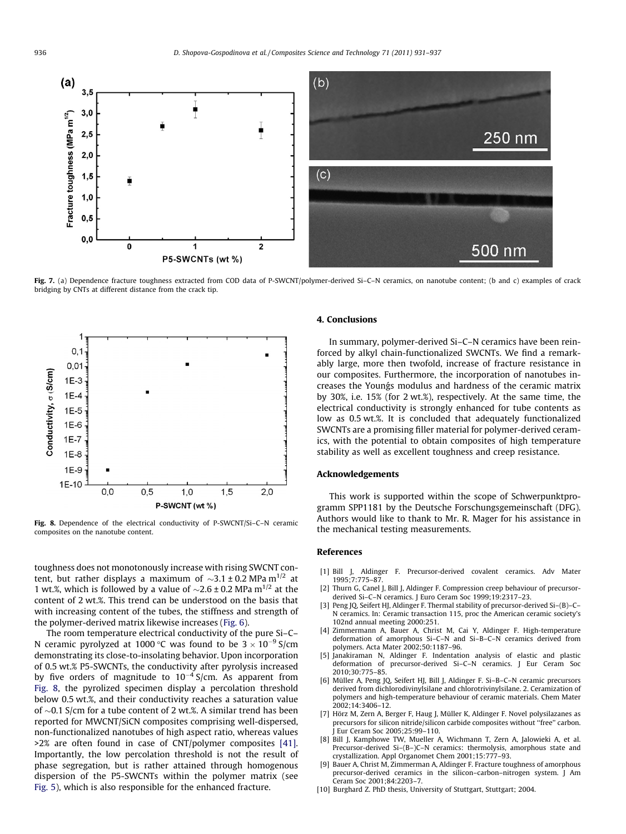<span id="page-5-0"></span>

Fig. 7. (a) Dependence fracture toughness extracted from COD data of P-SWCNT/polymer-derived Si-C-N ceramics, on nanotube content; (b and c) examples of crack bridging by CNTs at different distance from the crack tip.



Fig. 8. Dependence of the electrical conductivity of P-SWCNT/Si–C–N ceramic composites on the nanotube content.

toughness does not monotonously increase with rising SWCNT content, but rather displays a maximum of  ${\sim}3.1$  ± 0.2 MPa m $^{1/2}$  at 1 wt.%, which is followed by a value of  $\sim$ 2.6 ± 0.2 MPa m<sup>1/2</sup> at the content of 2 wt.%. This trend can be understood on the basis that with increasing content of the tubes, the stiffness and strength of the polymer-derived matrix likewise increases ([Fig. 6](#page-4-0)).

The room temperature electrical conductivity of the pure Si–C– N ceramic pyrolyzed at 1000 °C was found to be  $3 \times 10^{-9}$  S/cm demonstrating its close-to-insolating behavior. Upon incorporation of 0.5 wt.% P5-SWCNTs, the conductivity after pyrolysis increased by five orders of magnitude to  $10^{-4}$  S/cm. As apparent from Fig. 8, the pyrolized specimen display a percolation threshold below 0.5 wt.%, and their conductivity reaches a saturation value of  ${\sim}0.1$  S/cm for a tube content of 2 wt.%. A similar trend has been reported for MWCNT/SiCN composites comprising well-dispersed, non-functionalized nanotubes of high aspect ratio, whereas values >2% are often found in case of CNT/polymer composites [\[41\].](#page-6-0) Importantly, the low percolation threshold is not the result of phase segregation, but is rather attained through homogenous dispersion of the P5-SWCNTs within the polymer matrix (see [Fig. 5](#page-3-0)), which is also responsible for the enhanced fracture.

## 4. Conclusions

In summary, polymer-derived Si–C–N ceramics have been reinforced by alkyl chain-functionalized SWCNTs. We find a remarkably large, more then twofold, increase of fracture resistance in our composites. Furthermore, the incorporation of nanotubes increases the Youngs modulus and hardness of the ceramic matrix by 30%, i.e. 15% (for 2 wt.%), respectively. At the same time, the electrical conductivity is strongly enhanced for tube contents as low as 0.5 wt.%. It is concluded that adequately functionalized SWCNTs are a promising filler material for polymer-derived ceramics, with the potential to obtain composites of high temperature stability as well as excellent toughness and creep resistance.

#### Acknowledgements

This work is supported within the scope of Schwerpunktprogramm SPP1181 by the Deutsche Forschungsgemeinschaft (DFG). Authors would like to thank to Mr. R. Mager for his assistance in the mechanical testing measurements.

#### References

- [1] Bill J, Aldinger F. Precursor-derived covalent ceramics. Adv Mater 1995;7:775–87.
- [2] Thurn G, Canel J, Bill J, Aldinger F. Compression creep behaviour of precursorderived Si–C–N ceramics. J Euro Ceram Soc 1999;19:2317–23.
- [3] Peng JQ, Seifert HJ, Aldinger F. Thermal stability of precursor-derived Si–(B)–C– N ceramics. In: Ceramic transaction 115, proc the American ceramic society's 102nd annual meeting 2000:251.
- [4] Zimmermann A, Bauer A, Christ M, Cai Y, Aldinger F. High-temperature deformation of amorphous Si–C–N and Si–B–C–N ceramics derived from polymers. Acta Mater 2002;50:1187–96.
- [5] Janakiraman N, Aldinger F. Indentation analysis of elastic and plastic deformation of precursor-derived Si–C–N ceramics. J Eur Ceram Soc 2010;30:775–85.
- [6] Müller A, Peng JQ, Seifert HJ, Bill J, Aldinger F. Si–B–C–N ceramic precursors derived from dichlorodivinylsilane and chlorotrivinylsilane. 2. Ceramization of polymers and high-temperature behaviour of ceramic materials. Chem Mater 2002;14:3406–12.
- [7] Hörz M, Zern A, Berger F, Haug J, Müller K, Aldinger F. Novel polysilazanes as precursors for silicon nitride/silicon carbide composites without ''free'' carbon. J Eur Ceram Soc 2005;25:99–110.
- [8] Bill J, Kamphowe TW, Mueller A, Wichmann T, Zern A, Jalowieki A, et al. Precursor-derived Si–(B–)C–N ceramics: thermolysis, amorphous state and crystallization. Appl Organomet Chem 2001;15:777–93.
- [9] Bauer A, Christ M, Zimmerman A, Aldinger F. Fracture toughness of amorphous precursor-derived ceramics in the silicon–carbon–nitrogen system. J Am Ceram Soc 2001;84:2203–7.
- [10] Burghard Z. PhD thesis, University of Stuttgart, Stuttgart; 2004.